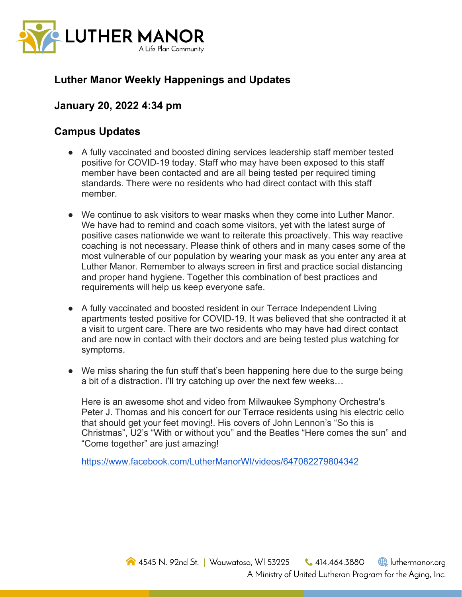

## **Luther Manor Weekly Happenings and Updates**

## **January 20, 2022 4:34 pm**

## **Campus Updates**

- A fully vaccinated and boosted dining services leadership staff member tested positive for COVID-19 today. Staff who may have been exposed to this staff member have been contacted and are all being tested per required timing standards. There were no residents who had direct contact with this staff member.
- We continue to ask visitors to wear masks when they come into Luther Manor. We have had to remind and coach some visitors, yet with the latest surge of positive cases nationwide we want to reiterate this proactively. This way reactive coaching is not necessary. Please think of others and in many cases some of the most vulnerable of our population by wearing your mask as you enter any area at Luther Manor. Remember to always screen in first and practice social distancing and proper hand hygiene. Together this combination of best practices and requirements will help us keep everyone safe.
- A fully vaccinated and boosted resident in our Terrace Independent Living apartments tested positive for COVID-19. It was believed that she contracted it at a visit to urgent care. There are two residents who may have had direct contact and are now in contact with their doctors and are being tested plus watching for symptoms.
- We miss sharing the fun stuff that's been happening here due to the surge being a bit of a distraction. I'll try catching up over the next few weeks…

Here is an awesome shot and video from Milwaukee Symphony Orchestra's Peter J. Thomas and his concert for our Terrace residents using his electric cello that should get your feet moving!. His covers of John Lennon's "So this is Christmas", U2's "With or without you" and the Beatles "Here comes the sun" and "Come together" are just amazing!

https://www.facebook.com/LutherManorWI/videos/647082279804342